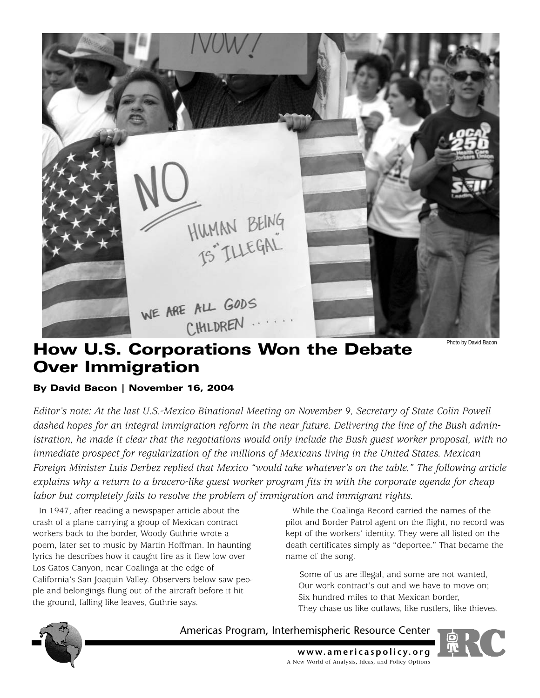

# How U.S. Corporations Won the Debate Over Immigration

### Photo by David Bacon

# By David Bacon | November 16, 2004

*Editor's note: At the last U.S.-Mexico Binational Meeting on November 9, Secretary of State Colin Powell dashed hopes for an integral immigration reform in the near future. Delivering the line of the Bush administration, he made it clear that the negotiations would only include the Bush guest worker proposal, with no immediate prospect for regularization of the millions of Mexicans living in the United States. Mexican Foreign Minister Luis Derbez replied that Mexico "would take whatever's on the table." The following article explains why a return to a bracero-like guest worker program fits in with the corporate agenda for cheap labor but completely fails to resolve the problem of immigration and immigrant rights.*

In 1947, after reading a newspaper article about the crash of a plane carrying a group of Mexican contract workers back to the border, Woody Guthrie wrote a poem, later set to music by Martin Hoffman. In haunting lyrics he describes how it caught fire as it flew low over Los Gatos Canyon, near Coalinga at the edge of California's San Joaquin Valley. Observers below saw people and belongings flung out of the aircraft before it hit the ground, falling like leaves, Guthrie says.

While the Coalinga Record carried the names of the pilot and Border Patrol agent on the flight, no record was kept of the workers' identity. They were all listed on the death certificates simply as "deportee." That became the name of the song.

Some of us are illegal, and some are not wanted, Our work contract's out and we have to move on; Six hundred miles to that Mexican border, They chase us like outlaws, like rustlers, like thieves.



Americas Program, Interhemispheric Resource Center



**www.americaspolicy.org** A New World of Analysis, Ideas, and Policy Options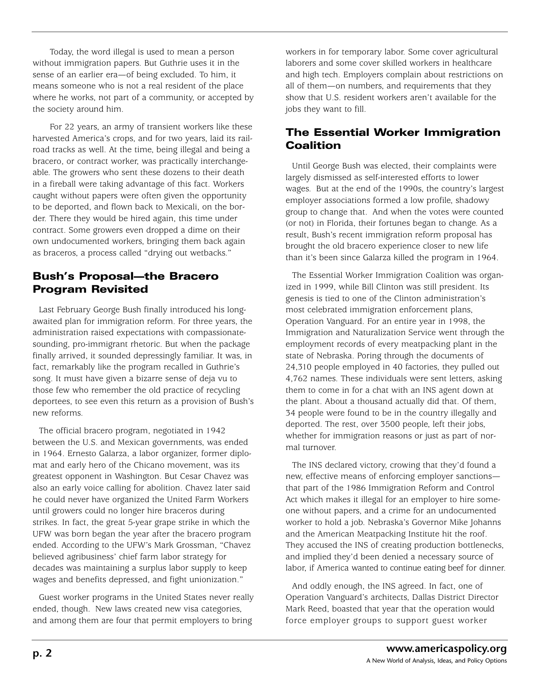Today, the word illegal is used to mean a person without immigration papers. But Guthrie uses it in the sense of an earlier era—of being excluded. To him, it means someone who is not a real resident of the place where he works, not part of a community, or accepted by the society around him.

For 22 years, an army of transient workers like these harvested America's crops, and for two years, laid its railroad tracks as well. At the time, being illegal and being a bracero, or contract worker, was practically interchangeable. The growers who sent these dozens to their death in a fireball were taking advantage of this fact. Workers caught without papers were often given the opportunity to be deported, and flown back to Mexicali, on the border. There they would be hired again, this time under contract. Some growers even dropped a dime on their own undocumented workers, bringing them back again as braceros, a process called "drying out wetbacks."

# Bush's Proposal—the Bracero Program Revisited

Last February George Bush finally introduced his longawaited plan for immigration reform. For three years, the administration raised expectations with compassionatesounding, pro-immigrant rhetoric. But when the package finally arrived, it sounded depressingly familiar. It was, in fact, remarkably like the program recalled in Guthrie's song. It must have given a bizarre sense of deja vu to those few who remember the old practice of recycling deportees, to see even this return as a provision of Bush's new reforms.

The official bracero program, negotiated in 1942 between the U.S. and Mexican governments, was ended in 1964. Ernesto Galarza, a labor organizer, former diplomat and early hero of the Chicano movement, was its greatest opponent in Washington. But Cesar Chavez was also an early voice calling for abolition. Chavez later said he could never have organized the United Farm Workers until growers could no longer hire braceros during strikes. In fact, the great 5-year grape strike in which the UFW was born began the year after the bracero program ended. According to the UFW's Mark Grossman, "Chavez believed agribusiness' chief farm labor strategy for decades was maintaining a surplus labor supply to keep wages and benefits depressed, and fight unionization."

Guest worker programs in the United States never really ended, though. New laws created new visa categories, and among them are four that permit employers to bring

workers in for temporary labor. Some cover agricultural laborers and some cover skilled workers in healthcare and high tech. Employers complain about restrictions on all of them—on numbers, and requirements that they show that U.S. resident workers aren't available for the jobs they want to fill.

# The Essential Worker Immigration **Coalition**

Until George Bush was elected, their complaints were largely dismissed as self-interested efforts to lower wages. But at the end of the 1990s, the country's largest employer associations formed a low profile, shadowy group to change that. And when the votes were counted (or not) in Florida, their fortunes began to change. As a result, Bush's recent immigration reform proposal has brought the old bracero experience closer to new life than it's been since Galarza killed the program in 1964.

The Essential Worker Immigration Coalition was organized in 1999, while Bill Clinton was still president. Its genesis is tied to one of the Clinton administration's most celebrated immigration enforcement plans, Operation Vanguard. For an entire year in 1998, the Immigration and Naturalization Service went through the employment records of every meatpacking plant in the state of Nebraska. Poring through the documents of 24,310 people employed in 40 factories, they pulled out 4,762 names. These individuals were sent letters, asking them to come in for a chat with an INS agent down at the plant. About a thousand actually did that. Of them, 34 people were found to be in the country illegally and deported. The rest, over 3500 people, left their jobs, whether for immigration reasons or just as part of normal turnover.

The INS declared victory, crowing that they'd found a new, effective means of enforcing employer sanctions that part of the 1986 Immigration Reform and Control Act which makes it illegal for an employer to hire someone without papers, and a crime for an undocumented worker to hold a job. Nebraska's Governor Mike Johanns and the American Meatpacking Institute hit the roof. They accused the INS of creating production bottlenecks, and implied they'd been denied a necessary source of labor, if America wanted to continue eating beef for dinner.

And oddly enough, the INS agreed. In fact, one of Operation Vanguard's architects, Dallas District Director Mark Reed, boasted that year that the operation would force employer groups to support guest worker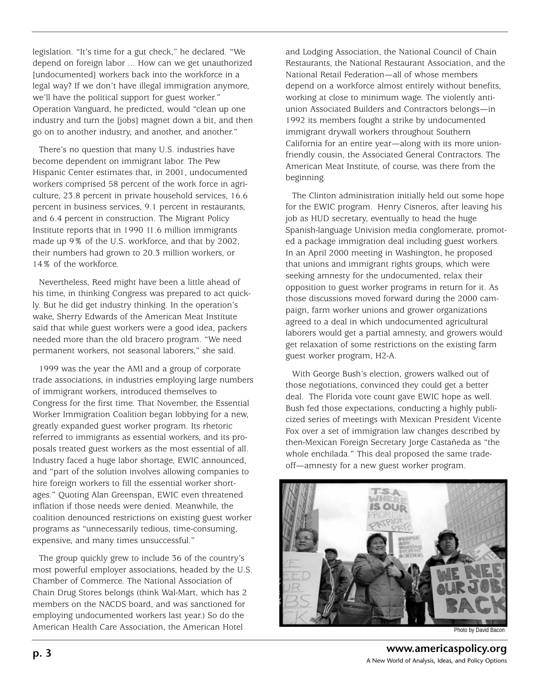legislation. "It's time for a gut check," he declared. "We depend on foreign labor ... How can we get unauthorized [undocumented] workers back into the workforce in a legal way? If we don't have illegal immigration anymore, we'll have the political support for guest worker." Operation Vanguard, he predicted, would "clean up one industry and turn the [jobs] magnet down a bit, and then go on to another industry, and another, and another."

There's no question that many U.S. industries have become dependent on immigrant labor. The Pew Hispanic Center estimates that, in 2001, undocumented workers comprised 58 percent of the work force in agriculture, 23.8 percent in private household services, 16.6 percent in business services, 9.1 percent in restaurants, and 6.4 percent in construction. The Migrant Policy Institute reports that in 1990 11.6 million immigrants made up 9% of the U.S. workforce, and that by 2002, their numbers had grown to 20.3 million workers, or 14% of the workforce.

Nevertheless, Reed might have been a little ahead of his time, in thinking Congress was prepared to act quickly. But he did get industry thinking. In the operation's wake, Sherry Edwards of the American Meat Institute said that while guest workers were a good idea, packers needed more than the old bracero program. "We need permanent workers, not seasonal laborers," she said.

1999 was the year the AMI and a group of corporate trade associations, in industries employing large numbers of immigrant workers, introduced themselves to Congress for the first time. That November, the Essential Worker Immigration Coalition began lobbying for a new, greatly expanded guest worker program. Its rhetoric referred to immigrants as essential workers, and its proposals treated guest workers as the most essential of all. Industry faced a huge labor shortage, EWIC announced, and "part of the solution involves allowing companies to hire foreign workers to fill the essential worker shortages." Quoting Alan Greenspan, EWIC even threatened inflation if those needs were denied. Meanwhile, the coalition denounced restrictions on existing guest worker programs as "unnecessarily tedious, time-consuming, expensive, and many times unsuccessful."

The group quickly grew to include 36 of the country's most powerful employer associations, headed by the U.S. Chamber of Commerce. The National Association of Chain Drug Stores belongs (think Wal-Mart, which has 2 members on the NACDS board, and was sanctioned for employing undocumented workers last year.) So do the American Health Care Association, the American Hotel

and Lodging Association, the National Council of Chain Restaurants, the National Restaurant Association, and the National Retail Federation—all of whose members depend on a workforce almost entirely without benefits, working at close to minimum wage. The violently antiunion Associated Builders and Contractors belongs—in 1992 its members fought a strike by undocumented immigrant drywall workers throughout Southern California for an entire year—along with its more unionfriendly cousin, the Associated General Contractors. The American Meat Institute, of course, was there from the beginning.

The Clinton administration initially held out some hope for the EWIC program. Henry Cisneros, after leaving his job as HUD secretary, eventually to head the huge Spanish-language Univision media conglomerate, promoted a package immigration deal including guest workers. In an April 2000 meeting in Washington, he proposed that unions and immigrant rights groups, which were seeking amnesty for the undocumented, relax their opposition to guest worker programs in return for it. As those discussions moved forward during the 2000 campaign, farm worker unions and grower organizations agreed to a deal in which undocumented agricultural laborers would get a partial amnesty, and growers would get relaxation of some restrictions on the existing farm guest worker program, H2-A.

With George Bush's election, growers walked out of those negotiations, convinced they could get a better deal. The Florida vote count gave EWIC hope as well. Bush fed those expectations, conducting a highly publicized series of meetings with Mexican President Vicente Fox over a set of immigration law changes described by then-Mexican Foreign Secretary Jorge Castañeda as "the whole enchilada." This deal proposed the same tradeoff—amnesty for a new guest worker program.



Photo by David Bacon

**www.americaspolicy.org** A New World of Analysis, Ideas, and Policy Options **p. 3**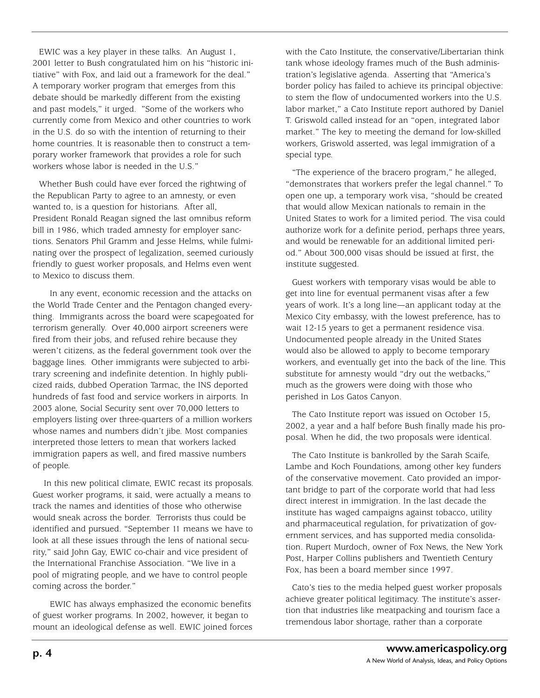EWIC was a key player in these talks. An August 1, 2001 letter to Bush congratulated him on his "historic initiative" with Fox, and laid out a framework for the deal." A temporary worker program that emerges from this debate should be markedly different from the existing and past models," it urged. "Some of the workers who currently come from Mexico and other countries to work in the U.S. do so with the intention of returning to their home countries. It is reasonable then to construct a temporary worker framework that provides a role for such workers whose labor is needed in the U.S."

Whether Bush could have ever forced the rightwing of the Republican Party to agree to an amnesty, or even wanted to, is a question for historians. After all, President Ronald Reagan signed the last omnibus reform bill in 1986, which traded amnesty for employer sanctions. Senators Phil Gramm and Jesse Helms, while fulminating over the prospect of legalization, seemed curiously friendly to guest worker proposals, and Helms even went to Mexico to discuss them.

In any event, economic recession and the attacks on the World Trade Center and the Pentagon changed everything. Immigrants across the board were scapegoated for terrorism generally. Over 40,000 airport screeners were fired from their jobs, and refused rehire because they weren't citizens, as the federal government took over the baggage lines. Other immigrants were subjected to arbitrary screening and indefinite detention. In highly publicized raids, dubbed Operation Tarmac, the INS deported hundreds of fast food and service workers in airports. In 2003 alone, Social Security sent over 70,000 letters to employers listing over three-quarters of a million workers whose names and numbers didn't jibe. Most companies interpreted those letters to mean that workers lacked immigration papers as well, and fired massive numbers of people.

In this new political climate, EWIC recast its proposals. Guest worker programs, it said, were actually a means to track the names and identities of those who otherwise would sneak across the border. Terrorists thus could be identified and pursued. "September 11 means we have to look at all these issues through the lens of national security," said John Gay, EWIC co-chair and vice president of the International Franchise Association. "We live in a pool of migrating people, and we have to control people coming across the border."

EWIC has always emphasized the economic benefits of guest worker programs. In 2002, however, it began to mount an ideological defense as well. EWIC joined forces with the Cato Institute, the conservative/Libertarian think tank whose ideology frames much of the Bush administration's legislative agenda. Asserting that "America's border policy has failed to achieve its principal objective: to stem the flow of undocumented workers into the U.S. labor market," a Cato Institute report authored by Daniel T. Griswold called instead for an "open, integrated labor market." The key to meeting the demand for low-skilled workers, Griswold asserted, was legal immigration of a special type.

"The experience of the bracero program," he alleged, "demonstrates that workers prefer the legal channel." To open one up, a temporary work visa, "should be created that would allow Mexican nationals to remain in the United States to work for a limited period. The visa could authorize work for a definite period, perhaps three years, and would be renewable for an additional limited period." About 300,000 visas should be issued at first, the institute suggested.

Guest workers with temporary visas would be able to get into line for eventual permanent visas after a few years of work. It's a long line—an applicant today at the Mexico City embassy, with the lowest preference, has to wait 12-15 years to get a permanent residence visa. Undocumented people already in the United States would also be allowed to apply to become temporary workers, and eventually get into the back of the line. This substitute for amnesty would "dry out the wetbacks," much as the growers were doing with those who perished in Los Gatos Canyon.

The Cato Institute report was issued on October 15, 2002, a year and a half before Bush finally made his proposal. When he did, the two proposals were identical.

The Cato Institute is bankrolled by the Sarah Scaife, Lambe and Koch Foundations, among other key funders of the conservative movement. Cato provided an important bridge to part of the corporate world that had less direct interest in immigration. In the last decade the institute has waged campaigns against tobacco, utility and pharmaceutical regulation, for privatization of government services, and has supported media consolidation. Rupert Murdoch, owner of Fox News, the New York Post, Harper Collins publishers and Twentieth Century Fox, has been a board member since 1997.

Cato's ties to the media helped guest worker proposals achieve greater political legitimacy. The institute's assertion that industries like meatpacking and tourism face a tremendous labor shortage, rather than a corporate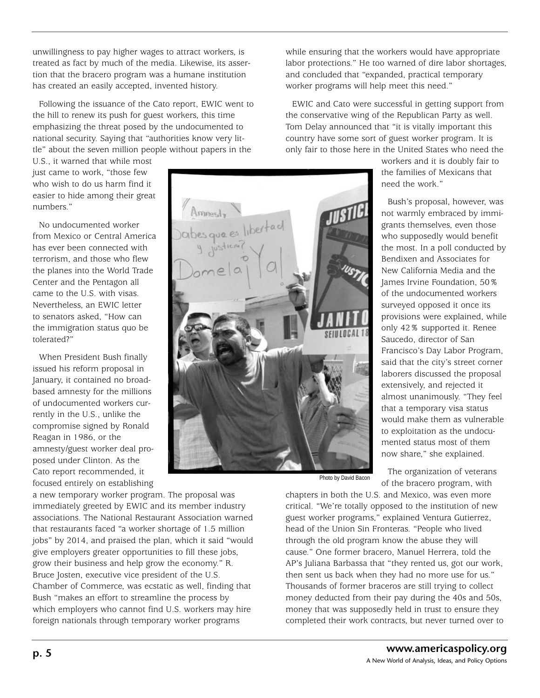unwillingness to pay higher wages to attract workers, is treated as fact by much of the media. Likewise, its assertion that the bracero program was a humane institution has created an easily accepted, invented history.

Following the issuance of the Cato report, EWIC went to the hill to renew its push for guest workers, this time emphasizing the threat posed by the undocumented to national security. Saying that "authorities know very little" about the seven million people without papers in the

U.S., it warned that while most just came to work, "those few who wish to do us harm find it easier to hide among their great numbers."

No undocumented worker from Mexico or Central America has ever been connected with terrorism, and those who flew the planes into the World Trade Center and the Pentagon all came to the U.S. with visas. Nevertheless, an EWIC letter to senators asked, "How can the immigration status quo be tolerated?"

When President Bush finally issued his reform proposal in January, it contained no broadbased amnesty for the millions of undocumented workers currently in the U.S., unlike the compromise signed by Ronald Reagan in 1986, or the amnesty/guest worker deal proposed under Clinton. As the Cato report recommended, it focused entirely on establishing

a new temporary worker program. The proposal was immediately greeted by EWIC and its member industry associations. The National Restaurant Association warned that restaurants faced "a worker shortage of 1.5 million jobs" by 2014, and praised the plan, which it said "would give employers greater opportunities to fill these jobs, grow their business and help grow the economy." R. Bruce Josten, executive vice president of the U.S. Chamber of Commerce, was ecstatic as well, finding that Bush "makes an effort to streamline the process by which employers who cannot find U.S. workers may hire foreign nationals through temporary worker programs

while ensuring that the workers would have appropriate labor protections." He too warned of dire labor shortages, and concluded that "expanded, practical temporary worker programs will help meet this need."

EWIC and Cato were successful in getting support from the conservative wing of the Republican Party as well. Tom Delay announced that "it is vitally important this country have some sort of guest worker program. It is only fair to those here in the United States who need the

> workers and it is doubly fair to the families of Mexicans that need the work."

Bush's proposal, however, was not warmly embraced by immigrants themselves, even those who supposedly would benefit the most. In a poll conducted by Bendixen and Associates for New California Media and the James Irvine Foundation, 50% of the undocumented workers surveyed opposed it once its provisions were explained, while only 42% supported it. Renee Saucedo, director of San Francisco's Day Labor Program, said that the city's street corner laborers discussed the proposal extensively, and rejected it almost unanimously. "They feel that a temporary visa status would make them as vulnerable to exploitation as the undocumented status most of them now share," she explained.

The organization of veterans of the bracero program, with Photo by David Bacon

chapters in both the U.S. and Mexico, was even more critical. "We're totally opposed to the institution of new guest worker programs," explained Ventura Gutierrez, head of the Union Sin Fronteras. "People who lived through the old program know the abuse they will cause." One former bracero, Manuel Herrera, told the AP's Juliana Barbassa that "they rented us, got our work, then sent us back when they had no more use for us." Thousands of former braceros are still trying to collect money deducted from their pay during the 40s and 50s, money that was supposedly held in trust to ensure they completed their work contracts, but never turned over to

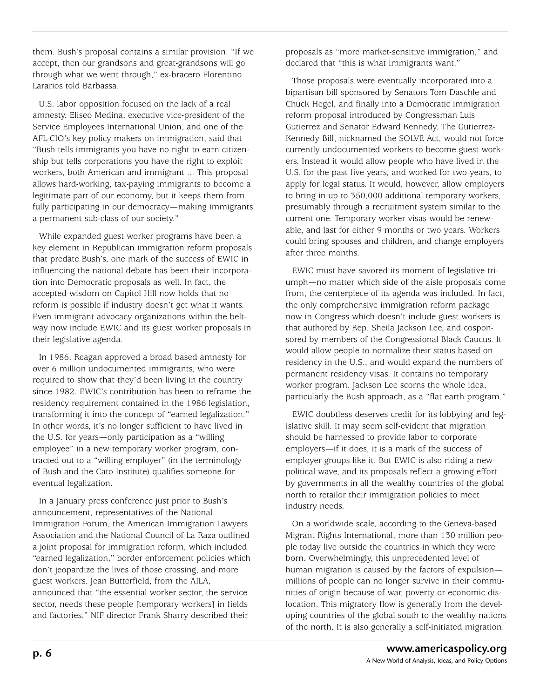them. Bush's proposal contains a similar provision. "If we accept, then our grandsons and great-grandsons will go through what we went through," ex-bracero Florentino Lararios told Barbassa.

U.S. labor opposition focused on the lack of a real amnesty. Eliseo Medina, executive vice-president of the Service Employees International Union, and one of the AFL-CIO's key policy makers on immigration, said that "Bush tells immigrants you have no right to earn citizenship but tells corporations you have the right to exploit workers, both American and immigrant ... This proposal allows hard-working, tax-paying immigrants to become a legitimate part of our economy, but it keeps them from fully participating in our democracy—making immigrants a permanent sub-class of our society."

While expanded guest worker programs have been a key element in Republican immigration reform proposals that predate Bush's, one mark of the success of EWIC in influencing the national debate has been their incorporation into Democratic proposals as well. In fact, the accepted wisdom on Capitol Hill now holds that no reform is possible if industry doesn't get what it wants. Even immigrant advocacy organizations within the beltway now include EWIC and its guest worker proposals in their legislative agenda.

In 1986, Reagan approved a broad based amnesty for over 6 million undocumented immigrants, who were required to show that they'd been living in the country since 1982. EWIC's contribution has been to reframe the residency requirement contained in the 1986 legislation, transforming it into the concept of "earned legalization." In other words, it's no longer sufficient to have lived in the U.S. for years—only participation as a "willing employee" in a new temporary worker program, contracted out to a "willing employer" (in the terminology of Bush and the Cato Institute) qualifies someone for eventual legalization.

In a January press conference just prior to Bush's announcement, representatives of the National Immigration Forum, the American Immigration Lawyers Association and the National Council of La Raza outlined a joint proposal for immigration reform, which included "earned legalization," border enforcement policies which don't jeopardize the lives of those crossing, and more guest workers. Jean Butterfield, from the AILA, announced that "the essential worker sector, the service sector, needs these people [temporary workers] in fields and factories." NIF director Frank Sharry described their

proposals as "more market-sensitive immigration," and declared that "this is what immigrants want."

Those proposals were eventually incorporated into a bipartisan bill sponsored by Senators Tom Daschle and Chuck Hegel, and finally into a Democratic immigration reform proposal introduced by Congressman Luis Gutierrez and Senator Edward Kennedy. The Gutierrez-Kennedy Bill, nicknamed the SOLVE Act, would not force currently undocumented workers to become guest workers. Instead it would allow people who have lived in the U.S. for the past five years, and worked for two years, to apply for legal status. It would, however, allow employers to bring in up to 350,000 additional temporary workers, presumably through a recruitment system similar to the current one. Temporary worker visas would be renewable, and last for either 9 months or two years. Workers could bring spouses and children, and change employers after three months.

EWIC must have savored its moment of legislative triumph—no matter which side of the aisle proposals come from, the centerpiece of its agenda was included. In fact, the only comprehensive immigration reform package now in Congress which doesn't include guest workers is that authored by Rep. Sheila Jackson Lee, and cosponsored by members of the Congressional Black Caucus. It would allow people to normalize their status based on residency in the U.S., and would expand the numbers of permanent residency visas. It contains no temporary worker program. Jackson Lee scorns the whole idea, particularly the Bush approach, as a "flat earth program."

EWIC doubtless deserves credit for its lobbying and legislative skill. It may seem self-evident that migration should be harnessed to provide labor to corporate employers—if it does, it is a mark of the success of employer groups like it. But EWIC is also riding a new political wave, and its proposals reflect a growing effort by governments in all the wealthy countries of the global north to retailor their immigration policies to meet industry needs.

On a worldwide scale, according to the Geneva-based Migrant Rights International, more than 130 million people today live outside the countries in which they were born. Overwhelmingly, this unprecedented level of human migration is caused by the factors of expulsion millions of people can no longer survive in their communities of origin because of war, poverty or economic dislocation. This migratory flow is generally from the developing countries of the global south to the wealthy nations of the north. It is also generally a self-initiated migration.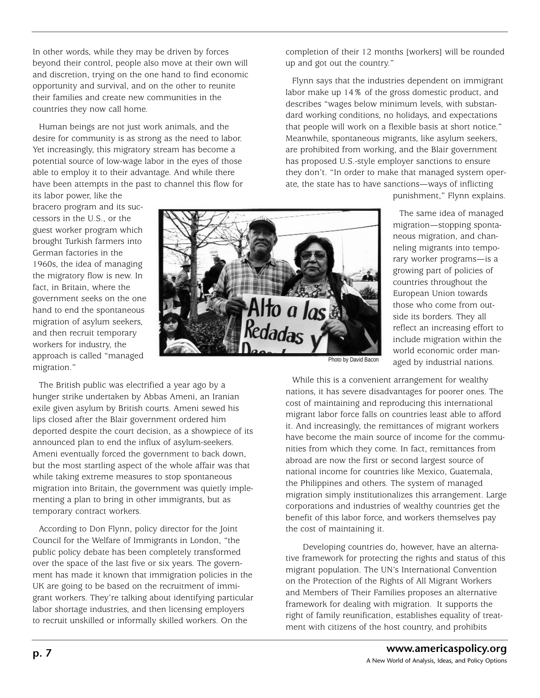In other words, while they may be driven by forces beyond their control, people also move at their own will and discretion, trying on the one hand to find economic opportunity and survival, and on the other to reunite their families and create new communities in the countries they now call home.

Human beings are not just work animals, and the desire for community is as strong as the need to labor. Yet increasingly, this migratory stream has become a potential source of low-wage labor in the eyes of those able to employ it to their advantage. And while there have been attempts in the past to channel this flow for completion of their 12 months [workers] will be rounded up and got out the country."

Flynn says that the industries dependent on immigrant labor make up 14% of the gross domestic product, and describes "wages below minimum levels, with substandard working conditions, no holidays, and expectations that people will work on a flexible basis at short notice." Meanwhile, spontaneous migrants, like asylum seekers, are prohibited from working, and the Blair government has proposed U.S.-style employer sanctions to ensure they don't. "In order to make that managed system operate, the state has to have sanctions—ways of inflicting

punishment," Flynn explains.

its labor power, like the bracero program and its successors in the U.S., or the guest worker program which brought Turkish farmers into German factories in the 1960s, the idea of managing the migratory flow is new. In fact, in Britain, where the government seeks on the one hand to end the spontaneous migration of asylum seekers, and then recruit temporary workers for industry, the approach is called "managed migration."



The same idea of managed migration—stopping spontaneous migration, and channeling migrants into temporary worker programs—is a growing part of policies of countries throughout the European Union towards those who come from outside its borders. They all reflect an increasing effort to include migration within the world economic order managed by industrial nations.

The British public was electrified a year ago by a hunger strike undertaken by Abbas Ameni, an Iranian exile given asylum by British courts. Ameni sewed his lips closed after the Blair government ordered him deported despite the court decision, as a showpiece of its announced plan to end the influx of asylum-seekers. Ameni eventually forced the government to back down, but the most startling aspect of the whole affair was that while taking extreme measures to stop spontaneous migration into Britain, the government was quietly implementing a plan to bring in other immigrants, but as temporary contract workers.

According to Don Flynn, policy director for the Joint Council for the Welfare of Immigrants in London, "the public policy debate has been completely transformed over the space of the last five or six years. The government has made it known that immigration policies in the UK are going to be based on the recruitment of immigrant workers. They're talking about identifying particular labor shortage industries, and then licensing employers to recruit unskilled or informally skilled workers. On the

Photo by David Bacon

While this is a convenient arrangement for wealthy nations, it has severe disadvantages for poorer ones. The cost of maintaining and reproducing this international migrant labor force falls on countries least able to afford it. And increasingly, the remittances of migrant workers have become the main source of income for the communities from which they come. In fact, remittances from abroad are now the first or second largest source of national income for countries like Mexico, Guatemala, the Philippines and others. The system of managed migration simply institutionalizes this arrangement. Large corporations and industries of wealthy countries get the benefit of this labor force, and workers themselves pay the cost of maintaining it.

Developing countries do, however, have an alternative framework for protecting the rights and status of this migrant population. The UN's International Convention on the Protection of the Rights of All Migrant Workers and Members of Their Families proposes an alternative framework for dealing with migration. It supports the right of family reunification, establishes equality of treatment with citizens of the host country, and prohibits